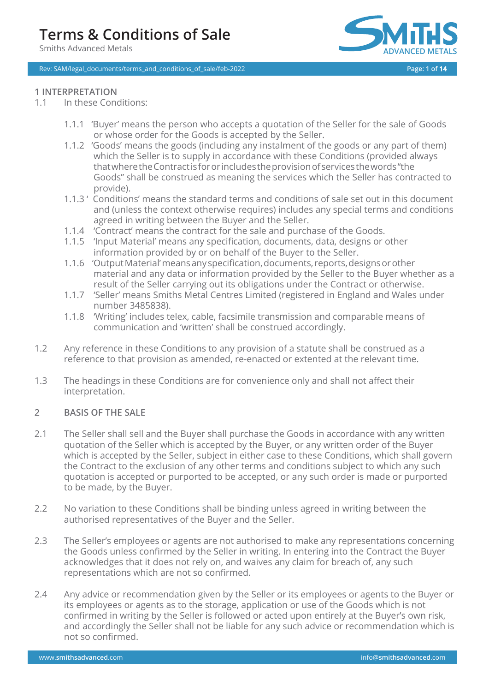Rev: SAM/legal\_documents/terms\_and\_conditions\_of\_sale/feb-2022 **Page: 1 of 14** 



# **1 INTERPRETATION**

- 1.1 In these Conditions:
	- 1.1.1 'Buyer' means the person who accepts a quotation of the Seller for the sale of Goods or whose order for the Goods is accepted by the Seller.
	- 1.1.2 'Goods' means the goods (including any instalment of the goods or any part of them) which the Seller is to supply in accordance with these Conditions (provided always thatwheretheContractisfororincludestheprovisionofservicesthewords"the Goods" shall be construed as meaning the services which the Seller has contracted to provide).
	- 1.1.3 ' Conditions' means the standard terms and conditions of sale set out in this document and (unless the context otherwise requires) includes any special terms and conditions agreed in writing between the Buyer and the Seller.
	- 1.1.4 'Contract' means the contract for the sale and purchase of the Goods.
	- 1.1.5 'Input Material' means any specification, documents, data, designs or other information provided by or on behalf of the Buyer to the Seller.
	- 1.1.6 'Output Material' means any specification, documents, reports, designs or other material and any data or information provided by the Seller to the Buyer whether as a result of the Seller carrying out its obligations under the Contract or otherwise.
	- 1.1.7 'Seller' means Smiths Metal Centres Limited (registered in England and Wales under number 3485838).
	- 1.1.8 'Writing' includes telex, cable, facsimile transmission and comparable means of communication and 'written' shall be construed accordingly.
- 1.2 Any reference in these Conditions to any provision of a statute shall be construed as a reference to that provision as amended, re-enacted or extented at the relevant time.
- 1.3 The headings in these Conditions are for convenience only and shall not affect their interpretation.

### **2 BASIS OF THE SALE**

- 2.1 The Seller shall sell and the Buyer shall purchase the Goods in accordance with any written quotation of the Seller which is accepted by the Buyer, or any written order of the Buyer which is accepted by the Seller, subject in either case to these Conditions, which shall govern the Contract to the exclusion of any other terms and conditions subject to which any such quotation is accepted or purported to be accepted, or any such order is made or purported to be made, by the Buyer.
- 2.2 No variation to these Conditions shall be binding unless agreed in writing between the authorised representatives of the Buyer and the Seller.
- 2.3 The Seller's employees or agents are not authorised to make any representations concerning the Goods unless confirmed by the Seller in writing. In entering into the Contract the Buyer acknowledges that it does not rely on, and waives any claim for breach of, any such representations which are not so confirmed.
- 2.4 Any advice or recommendation given by the Seller or its employees or agents to the Buyer or its employees or agents as to the storage, application or use of the Goods which is not confirmed in writing by the Seller is followed or acted upon entirely at the Buyer's own risk, and accordingly the Seller shall not be liable for any such advice or recommendation which is not so confirmed.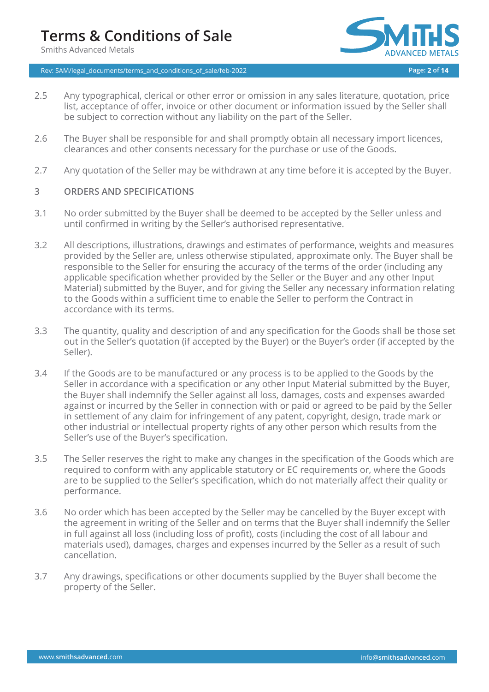Rev: SAM/legal\_documents/terms\_and\_conditions\_of\_sale/feb-2022 **Page: 2 of 14**



- 2.5 Any typographical, clerical or other error or omission in any sales literature, quotation, price list, acceptance of offer, invoice or other document or information issued by the Seller shall be subject to correction without any liability on the part of the Seller.
- 2.6 The Buyer shall be responsible for and shall promptly obtain all necessary import licences, clearances and other consents necessary for the purchase or use of the Goods.
- 2.7 Any quotation of the Seller may be withdrawn at any time before it is accepted by the Buyer.

#### **3 ORDERS AND SPECIFICATIONS**

- 3.1 No order submitted by the Buyer shall be deemed to be accepted by the Seller unless and until confirmed in writing by the Seller's authorised representative.
- 3.2 All descriptions, illustrations, drawings and estimates of performance, weights and measures provided by the Seller are, unless otherwise stipulated, approximate only. The Buyer shall be responsible to the Seller for ensuring the accuracy of the terms of the order (including any applicable specification whether provided by the Seller or the Buyer and any other Input Material) submitted by the Buyer, and for giving the Seller any necessary information relating to the Goods within a sufficient time to enable the Seller to perform the Contract in accordance with its terms.
- 3.3 The quantity, quality and description of and any specification for the Goods shall be those set out in the Seller's quotation (if accepted by the Buyer) or the Buyer's order (if accepted by the Seller).
- 3.4 If the Goods are to be manufactured or any process is to be applied to the Goods by the Seller in accordance with a specification or any other Input Material submitted by the Buyer, the Buyer shall indemnify the Seller against all loss, damages, costs and expenses awarded against or incurred by the Seller in connection with or paid or agreed to be paid by the Seller in settlement of any claim for infringement of any patent, copyright, design, trade mark or other industrial or intellectual property rights of any other person which results from the Seller's use of the Buyer's specification.
- 3.5 The Seller reserves the right to make any changes in the specification of the Goods which are required to conform with any applicable statutory or EC requirements or, where the Goods are to be supplied to the Seller's specification, which do not materially affect their quality or performance.
- 3.6 No order which has been accepted by the Seller may be cancelled by the Buyer except with the agreement in writing of the Seller and on terms that the Buyer shall indemnify the Seller in full against all loss (including loss of profit), costs (including the cost of all labour and materials used), damages, charges and expenses incurred by the Seller as a result of such cancellation.
- 3.7 Any drawings, specifications or other documents supplied by the Buyer shall become the property of the Seller.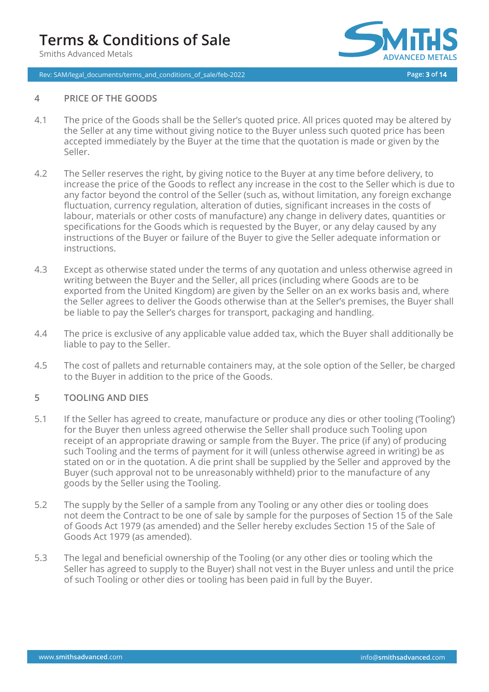# **Terms & Conditions of Sale**

Smiths Advanced Metals





#### **4 PRICE OF THE GOODS**

- 4.1 The price of the Goods shall be the Seller's quoted price. All prices quoted may be altered by the Seller at any time without giving notice to the Buyer unless such quoted price has been accepted immediately by the Buyer at the time that the quotation is made or given by the Seller.
- 4.2 The Seller reserves the right, by giving notice to the Buyer at any time before delivery, to increase the price of the Goods to reflect any increase in the cost to the Seller which is due to any factor beyond the control of the Seller (such as, without limitation, any foreign exchange fluctuation, currency regulation, alteration of duties, significant increases in the costs of labour, materials or other costs of manufacture) any change in delivery dates, quantities or specifications for the Goods which is requested by the Buyer, or any delay caused by any instructions of the Buyer or failure of the Buyer to give the Seller adequate information or instructions.
- 4.3 Except as otherwise stated under the terms of any quotation and unless otherwise agreed in writing between the Buyer and the Seller, all prices (including where Goods are to be exported from the United Kingdom) are given by the Seller on an ex works basis and, where the Seller agrees to deliver the Goods otherwise than at the Seller's premises, the Buyer shall be liable to pay the Seller's charges for transport, packaging and handling.
- 4.4 The price is exclusive of any applicable value added tax, which the Buyer shall additionally be liable to pay to the Seller.
- 4.5 The cost of pallets and returnable containers may, at the sole option of the Seller, be charged to the Buyer in addition to the price of the Goods.

### **5 TOOLING AND DIES**

- 5.1 If the Seller has agreed to create, manufacture or produce any dies or other tooling ('Tooling') for the Buyer then unless agreed otherwise the Seller shall produce such Tooling upon receipt of an appropriate drawing or sample from the Buyer. The price (if any) of producing such Tooling and the terms of payment for it will (unless otherwise agreed in writing) be as stated on or in the quotation. A die print shall be supplied by the Seller and approved by the Buyer (such approval not to be unreasonably withheld) prior to the manufacture of any goods by the Seller using the Tooling.
- 5.2 The supply by the Seller of a sample from any Tooling or any other dies or tooling does not deem the Contract to be one of sale by sample for the purposes of Section 15 of the Sale of Goods Act 1979 (as amended) and the Seller hereby excludes Section 15 of the Sale of Goods Act 1979 (as amended).
- 5.3 The legal and beneficial ownership of the Tooling (or any other dies or tooling which the Seller has agreed to supply to the Buyer) shall not vest in the Buyer unless and until the price of such Tooling or other dies or tooling has been paid in full by the Buyer.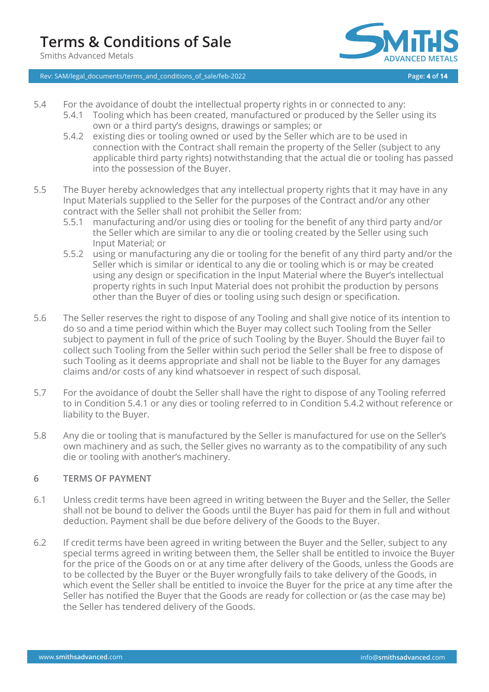

Rev: SAM/legal\_documents/terms\_and\_conditions\_of\_sale/feb-2022 **Page: 4 of 14**

- 5.4 For the avoidance of doubt the intellectual property rights in or connected to any:
	- 5.4.1 Tooling which has been created, manufactured or produced by the Seller using its own or a third party's designs, drawings or samples; or
	- 5.4.2 existing dies or tooling owned or used by the Seller which are to be used in connection with the Contract shall remain the property of the Seller (subject to any applicable third party rights) notwithstanding that the actual die or tooling has passed into the possession of the Buyer.
- 5.5 The Buyer hereby acknowledges that any intellectual property rights that it may have in any Input Materials supplied to the Seller for the purposes of the Contract and/or any other contract with the Seller shall not prohibit the Seller from:
	- 5.5.1 manufacturing and/or using dies or tooling for the benefit of any third party and/or the Seller which are similar to any die or tooling created by the Seller using such Input Material; or
	- 5.5.2 using or manufacturing any die or tooling for the benefit of any third party and/or the Seller which is similar or identical to any die or tooling which is or may be created using any design or specification in the Input Material where the Buyer's intellectual property rights in such Input Material does not prohibit the production by persons other than the Buyer of dies or tooling using such design or specification.
- 5.6 The Seller reserves the right to dispose of any Tooling and shall give notice of its intention to do so and a time period within which the Buyer may collect such Tooling from the Seller subject to payment in full of the price of such Tooling by the Buyer. Should the Buyer fail to collect such Tooling from the Seller within such period the Seller shall be free to dispose of such Tooling as it deems appropriate and shall not be liable to the Buyer for any damages claims and/or costs of any kind whatsoever in respect of such disposal.
- 5.7 For the avoidance of doubt the Seller shall have the right to dispose of any Tooling referred to in Condition 5.4.1 or any dies or tooling referred to in Condition 5.4.2 without reference or liability to the Buyer.
- 5.8 Any die or tooling that is manufactured by the Seller is manufactured for use on the Seller's own machinery and as such, the Seller gives no warranty as to the compatibility of any such die or tooling with another's machinery.

### **6 TERMS OF PAYMENT**

- 6.1 Unless credit terms have been agreed in writing between the Buyer and the Seller, the Seller shall not be bound to deliver the Goods until the Buyer has paid for them in full and without deduction. Payment shall be due before delivery of the Goods to the Buyer.
- 6.2 If credit terms have been agreed in writing between the Buyer and the Seller, subject to any special terms agreed in writing between them, the Seller shall be entitled to invoice the Buyer for the price of the Goods on or at any time after delivery of the Goods, unless the Goods are to be collected by the Buyer or the Buyer wrongfully fails to take delivery of the Goods, in which event the Seller shall be entitled to invoice the Buyer for the price at any time after the Seller has notified the Buyer that the Goods are ready for collection or (as the case may be) the Seller has tendered delivery of the Goods.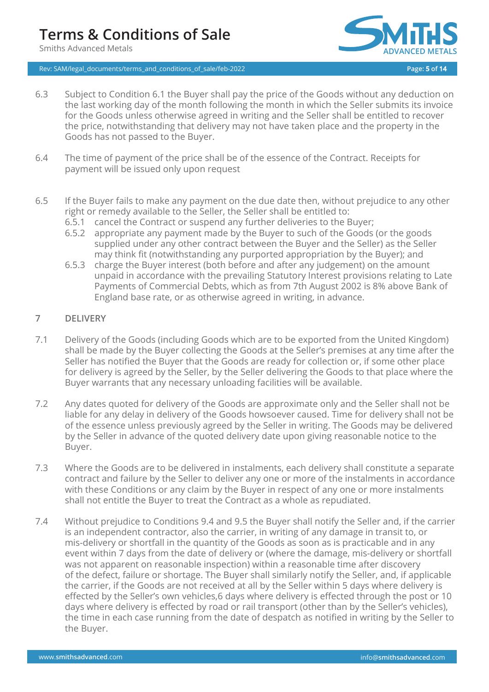Rev: SAM/legal\_documents/terms\_and\_conditions\_of\_sale/feb-2022 **Page: 5 of 14**



- 6.3 Subject to Condition 6.1 the Buyer shall pay the price of the Goods without any deduction on the last working day of the month following the month in which the Seller submits its invoice for the Goods unless otherwise agreed in writing and the Seller shall be entitled to recover the price, notwithstanding that delivery may not have taken place and the property in the Goods has not passed to the Buyer.
- 6.4 The time of payment of the price shall be of the essence of the Contract. Receipts for payment will be issued only upon request
- 6.5 If the Buyer fails to make any payment on the due date then, without prejudice to any other right or remedy available to the Seller, the Seller shall be entitled to:
	- 6.5.1 cancel the Contract or suspend any further deliveries to the Buyer;
	- 6.5.2 appropriate any payment made by the Buyer to such of the Goods (or the goods supplied under any other contract between the Buyer and the Seller) as the Seller may think fit (notwithstanding any purported appropriation by the Buyer); and
	- 6.5.3 charge the Buyer interest (both before and after any judgement) on the amount unpaid in accordance with the prevailing Statutory Interest provisions relating to Late Payments of Commercial Debts, which as from 7th August 2002 is 8% above Bank of England base rate, or as otherwise agreed in writing, in advance.

### **7 DELIVERY**

- 7.1 Delivery of the Goods (including Goods which are to be exported from the United Kingdom) shall be made by the Buyer collecting the Goods at the Seller's premises at any time after the Seller has notified the Buyer that the Goods are ready for collection or, if some other place for delivery is agreed by the Seller, by the Seller delivering the Goods to that place where the Buyer warrants that any necessary unloading facilities will be available.
- 7.2 Any dates quoted for delivery of the Goods are approximate only and the Seller shall not be liable for any delay in delivery of the Goods howsoever caused. Time for delivery shall not be of the essence unless previously agreed by the Seller in writing. The Goods may be delivered by the Seller in advance of the quoted delivery date upon giving reasonable notice to the Buyer.
- 7.3 Where the Goods are to be delivered in instalments, each delivery shall constitute a separate contract and failure by the Seller to deliver any one or more of the instalments in accordance with these Conditions or any claim by the Buyer in respect of any one or more instalments shall not entitle the Buyer to treat the Contract as a whole as repudiated.
- 7.4 Without prejudice to Conditions 9.4 and 9.5 the Buyer shall notify the Seller and, if the carrier is an independent contractor, also the carrier, in writing of any damage in transit to, or mis-delivery or shortfall in the quantity of the Goods as soon as is practicable and in any event within 7 days from the date of delivery or (where the damage, mis-delivery or shortfall was not apparent on reasonable inspection) within a reasonable time after discovery of the defect, failure or shortage. The Buyer shall similarly notify the Seller, and, if applicable the carrier, if the Goods are not received at all by the Seller within 5 days where delivery is effected by the Seller's own vehicles,6 days where delivery is effected through the post or 10 days where delivery is effected by road or rail transport (other than by the Seller's vehicles), the time in each case running from the date of despatch as notified in writing by the Seller to the Buyer.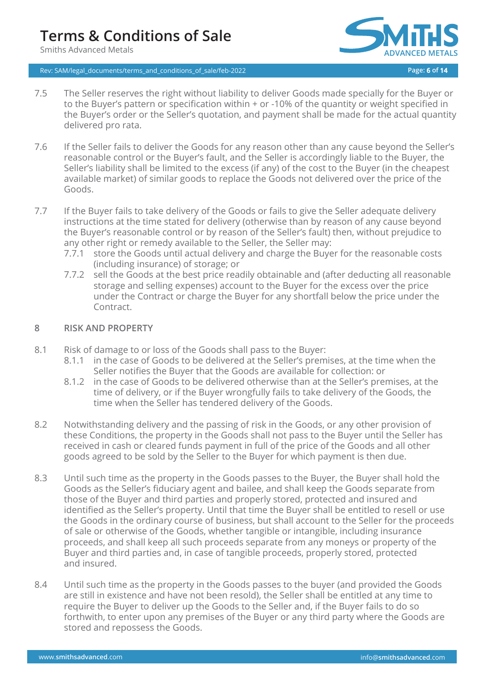# **Terms & Conditions of Sale**

Smiths Advanced Metals

Rev: SAM/legal\_documents/terms\_and\_conditions\_of\_sale/feb-2022 **Page: 6 of 14**



- 7.5 The Seller reserves the right without liability to deliver Goods made specially for the Buyer or to the Buyer's pattern or specification within + or -10% of the quantity or weight specified in the Buyer's order or the Seller's quotation, and payment shall be made for the actual quantity delivered pro rata.
- 7.6 If the Seller fails to deliver the Goods for any reason other than any cause beyond the Seller's reasonable control or the Buyer's fault, and the Seller is accordingly liable to the Buyer, the Seller's liability shall be limited to the excess (if any) of the cost to the Buyer (in the cheapest available market) of similar goods to replace the Goods not delivered over the price of the Goods.
- 7.7 If the Buyer fails to take delivery of the Goods or fails to give the Seller adequate delivery instructions at the time stated for delivery (otherwise than by reason of any cause beyond the Buyer's reasonable control or by reason of the Seller's fault) then, without prejudice to any other right or remedy available to the Seller, the Seller may:
	- 7.7.1 store the Goods until actual delivery and charge the Buyer for the reasonable costs (including insurance) of storage; or
	- 7.7.2 sell the Goods at the best price readily obtainable and (after deducting all reasonable storage and selling expenses) account to the Buyer for the excess over the price under the Contract or charge the Buyer for any shortfall below the price under the Contract.

### **8 RISK AND PROPERTY**

- 8.1 Risk of damage to or loss of the Goods shall pass to the Buyer:
	- 8.1.1 in the case of Goods to be delivered at the Seller's premises, at the time when the Seller notifies the Buyer that the Goods are available for collection: or
	- 8.1.2 in the case of Goods to be delivered otherwise than at the Seller's premises, at the time of delivery, or if the Buyer wrongfully fails to take delivery of the Goods, the time when the Seller has tendered delivery of the Goods.
- 8.2 Notwithstanding delivery and the passing of risk in the Goods, or any other provision of these Conditions, the property in the Goods shall not pass to the Buyer until the Seller has received in cash or cleared funds payment in full of the price of the Goods and all other goods agreed to be sold by the Seller to the Buyer for which payment is then due.
- 8.3 Until such time as the property in the Goods passes to the Buyer, the Buyer shall hold the Goods as the Seller's fiduciary agent and bailee, and shall keep the Goods separate from those of the Buyer and third parties and properly stored, protected and insured and identified as the Seller's property. Until that time the Buyer shall be entitled to resell or use the Goods in the ordinary course of business, but shall account to the Seller for the proceeds of sale or otherwise of the Goods, whether tangible or intangible, including insurance proceeds, and shall keep all such proceeds separate from any moneys or property of the Buyer and third parties and, in case of tangible proceeds, properly stored, protected and insured.
- 8.4 Until such time as the property in the Goods passes to the buyer (and provided the Goods are still in existence and have not been resold), the Seller shall be entitled at any time to require the Buyer to deliver up the Goods to the Seller and, if the Buyer fails to do so forthwith, to enter upon any premises of the Buyer or any third party where the Goods are stored and repossess the Goods.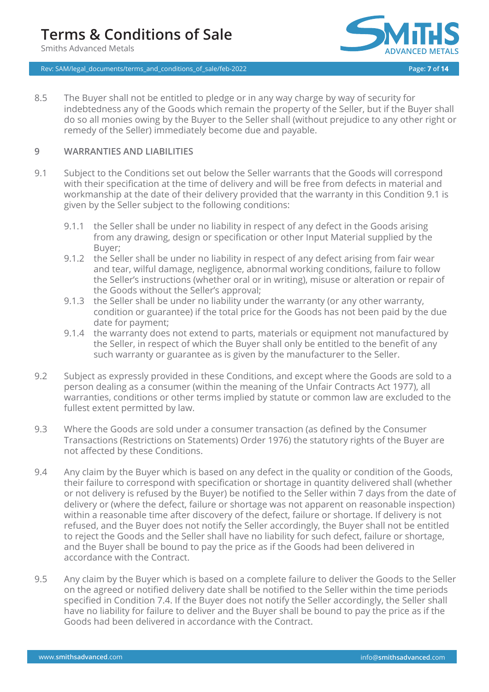Rev: SAM/legal\_documents/terms\_and\_conditions\_of\_sale/feb-2022 **Page: 7 of 14**



8.5 The Buyer shall not be entitled to pledge or in any way charge by way of security for indebtedness any of the Goods which remain the property of the Seller, but if the Buyer shall do so all monies owing by the Buyer to the Seller shall (without prejudice to any other right or remedy of the Seller) immediately become due and payable.

### **9 WARRANTIES AND LIABILITIES**

- 9.1 Subject to the Conditions set out below the Seller warrants that the Goods will correspond with their specification at the time of delivery and will be free from defects in material and workmanship at the date of their delivery provided that the warranty in this Condition 9.1 is given by the Seller subject to the following conditions:
	- 9.1.1 the Seller shall be under no liability in respect of any defect in the Goods arising from any drawing, design or specification or other Input Material supplied by the Buyer;
	- 9.1.2 the Seller shall be under no liability in respect of any defect arising from fair wear and tear, wilful damage, negligence, abnormal working conditions, failure to follow the Seller's instructions (whether oral or in writing), misuse or alteration or repair of the Goods without the Seller's approval;
	- 9.1.3 the Seller shall be under no liability under the warranty (or any other warranty, condition or guarantee) if the total price for the Goods has not been paid by the due date for payment;
	- 9.1.4 the warranty does not extend to parts, materials or equipment not manufactured by the Seller, in respect of which the Buyer shall only be entitled to the benefit of any such warranty or guarantee as is given by the manufacturer to the Seller.
- 9.2 Subject as expressly provided in these Conditions, and except where the Goods are sold to a person dealing as a consumer (within the meaning of the Unfair Contracts Act 1977), all warranties, conditions or other terms implied by statute or common law are excluded to the fullest extent permitted by law.
- 9.3 Where the Goods are sold under a consumer transaction (as defined by the Consumer Transactions (Restrictions on Statements) Order 1976) the statutory rights of the Buyer are not affected by these Conditions.
- 9.4 Any claim by the Buyer which is based on any defect in the quality or condition of the Goods, their failure to correspond with specification or shortage in quantity delivered shall (whether or not delivery is refused by the Buyer) be notified to the Seller within 7 days from the date of delivery or (where the defect, failure or shortage was not apparent on reasonable inspection) within a reasonable time after discovery of the defect, failure or shortage. If delivery is not refused, and the Buyer does not notify the Seller accordingly, the Buyer shall not be entitled to reject the Goods and the Seller shall have no liability for such defect, failure or shortage, and the Buyer shall be bound to pay the price as if the Goods had been delivered in accordance with the Contract.
- 9.5 Any claim by the Buyer which is based on a complete failure to deliver the Goods to the Seller on the agreed or notified delivery date shall be notified to the Seller within the time periods specified in Condition 7.4. If the Buyer does not notify the Seller accordingly, the Seller shall have no liability for failure to deliver and the Buyer shall be bound to pay the price as if the Goods had been delivered in accordance with the Contract.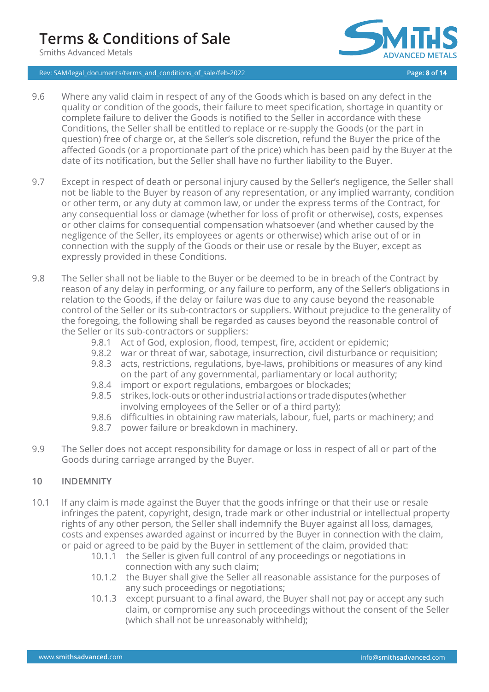# **Terms & Conditions of Sale**

Smiths Advanced Metals





- 9.6 Where any valid claim in respect of any of the Goods which is based on any defect in the quality or condition of the goods, their failure to meet specification, shortage in quantity or complete failure to deliver the Goods is notified to the Seller in accordance with these Conditions, the Seller shall be entitled to replace or re-supply the Goods (or the part in question) free of charge or, at the Seller's sole discretion, refund the Buyer the price of the affected Goods (or a proportionate part of the price) which has been paid by the Buyer at the date of its notification, but the Seller shall have no further liability to the Buyer.
- 9.7 Except in respect of death or personal injury caused by the Seller's negligence, the Seller shall not be liable to the Buyer by reason of any representation, or any implied warranty, condition or other term, or any duty at common law, or under the express terms of the Contract, for any consequential loss or damage (whether for loss of profit or otherwise), costs, expenses or other claims for consequential compensation whatsoever (and whether caused by the negligence of the Seller, its employees or agents or otherwise) which arise out of or in connection with the supply of the Goods or their use or resale by the Buyer, except as expressly provided in these Conditions.
- 9.8 The Seller shall not be liable to the Buyer or be deemed to be in breach of the Contract by reason of any delay in performing, or any failure to perform, any of the Seller's obligations in relation to the Goods, if the delay or failure was due to any cause beyond the reasonable control of the Seller or its sub-contractors or suppliers. Without prejudice to the generality of the foregoing, the following shall be regarded as causes beyond the reasonable control of the Seller or its sub-contractors or suppliers:
	- 9.8.1 Act of God, explosion, flood, tempest, fire, accident or epidemic;
	- 9.8.2 war or threat of war, sabotage, insurrection, civil disturbance or requisition;
	- 9.8.3 acts, restrictions, regulations, bye-laws, prohibitions or measures of any kind on the part of any governmental, parliamentary or local authority;
	- 9.8.4 import or export regulations, embargoes or blockades;
	- 9.8.5 strikes, lock-outs or other industrial actions or trade disputes (whether involving employees of the Seller or of a third party);
	- 9.8.6 difficulties in obtaining raw materials, labour, fuel, parts or machinery; and
	- 9.8.7 power failure or breakdown in machinery.
- 9.9 The Seller does not accept responsibility for damage or loss in respect of all or part of the Goods during carriage arranged by the Buyer.

### **10 INDEMNITY**

- 10.1 If any claim is made against the Buyer that the goods infringe or that their use or resale infringes the patent, copyright, design, trade mark or other industrial or intellectual property rights of any other person, the Seller shall indemnify the Buyer against all loss, damages, costs and expenses awarded against or incurred by the Buyer in connection with the claim, or paid or agreed to be paid by the Buyer in settlement of the claim, provided that:
	- 10.1.1 the Seller is given full control of any proceedings or negotiations in connection with any such claim;
	- 10.1.2 the Buyer shall give the Seller all reasonable assistance for the purposes of any such proceedings or negotiations;
	- 10.1.3 except pursuant to a final award, the Buyer shall not pay or accept any such claim, or compromise any such proceedings without the consent of the Seller (which shall not be unreasonably withheld);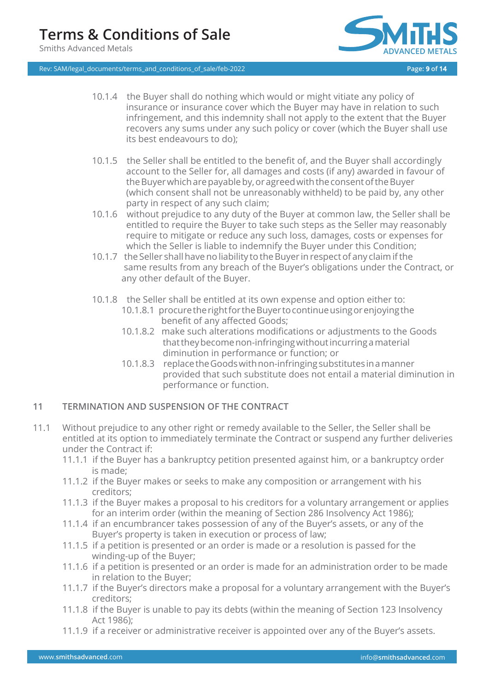Rev: SAM/legal\_documents/terms\_and\_conditions\_of\_sale/feb-2022 **Page: 9 of 14**



- 10.1.4 the Buyer shall do nothing which would or might vitiate any policy of insurance or insurance cover which the Buyer may have in relation to such infringement, and this indemnity shall not apply to the extent that the Buyer recovers any sums under any such policy or cover (which the Buyer shall use its best endeavours to do);
- 10.1.5 the Seller shall be entitled to the benefit of, and the Buyer shall accordingly account to the Seller for, all damages and costs (if any) awarded in favour of the Buyer which are payable by, or agreed with the consent of the Buyer (which consent shall not be unreasonably withheld) to be paid by, any other party in respect of any such claim;
- 10.1.6 without prejudice to any duty of the Buyer at common law, the Seller shall be entitled to require the Buyer to take such steps as the Seller may reasonably require to mitigate or reduce any such loss, damages, costs or expenses for which the Seller is liable to indemnify the Buyer under this Condition;
- 10.1.7 the Seller shall have no liability to the Buyer in respect of any claim if the same results from any breach of the Buyer's obligations under the Contract, or any other default of the Buyer.
- 10.1.8 the Seller shall be entitled at its own expense and option either to:
	- 10.1.8.1 procuretherightfortheBuyertocontinueusingorenjoyingthe benefit of any affected Goods;
	- 10.1.8.2 make such alterations modifications or adjustments to the Goods thattheybecomenon-infringingwithoutincurringamaterial diminution in performance or function; or
	- 10.1.8.3 replacetheGoodswithnon-infringingsubstitutesinamanner provided that such substitute does not entail a material diminution in performance or function.

# **11 TERMINATION AND SUSPENSION OF THE CONTRACT**

- 11.1 Without prejudice to any other right or remedy available to the Seller, the Seller shall be entitled at its option to immediately terminate the Contract or suspend any further deliveries under the Contract if:
	- 11.1.1 if the Buyer has a bankruptcy petition presented against him, or a bankruptcy order is made;
	- 11.1.2 if the Buyer makes or seeks to make any composition or arrangement with his creditors;
	- 11.1.3 if the Buyer makes a proposal to his creditors for a voluntary arrangement or applies for an interim order (within the meaning of Section 286 Insolvency Act 1986);
	- 11.1.4 if an encumbrancer takes possession of any of the Buyer's assets, or any of the Buyer's property is taken in execution or process of law;
	- 11.1.5 if a petition is presented or an order is made or a resolution is passed for the winding-up of the Buyer;
	- 11.1.6 if a petition is presented or an order is made for an administration order to be made in relation to the Buyer;
	- 11.1.7 if the Buyer's directors make a proposal for a voluntary arrangement with the Buyer's creditors;
	- 11.1.8 if the Buyer is unable to pay its debts (within the meaning of Section 123 Insolvency Act 1986);
	- 11.1.9 if a receiver or administrative receiver is appointed over any of the Buyer's assets.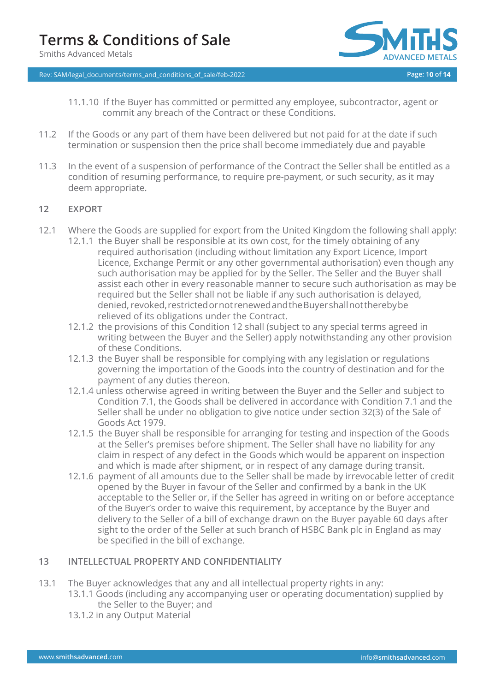Rev: SAM/legal\_documents/terms\_and\_conditions\_of\_sale/feb-2022 **Page: 10 of 14**



- 11.1.10 If the Buyer has committed or permitted any employee, subcontractor, agent or commit any breach of the Contract or these Conditions.
- 11.2 If the Goods or any part of them have been delivered but not paid for at the date if such termination or suspension then the price shall become immediately due and payable
- 11.3 In the event of a suspension of performance of the Contract the Seller shall be entitled as a condition of resuming performance, to require pre-payment, or such security, as it may deem appropriate.

# **12 EXPORT**

- 12.1 Where the Goods are supplied for export from the United Kingdom the following shall apply:
	- 12.1.1 the Buyer shall be responsible at its own cost, for the timely obtaining of any required authorisation (including without limitation any Export Licence, Import Licence, Exchange Permit or any other governmental authorisation) even though any such authorisation may be applied for by the Seller. The Seller and the Buyer shall assist each other in every reasonable manner to secure such authorisation as may be required but the Seller shall not be liable if any such authorisation is delayed, denied, revoked,restrictedornotrenewedandtheBuyershallnottherebybe relieved of its obligations under the Contract.
	- 12.1.2 the provisions of this Condition 12 shall (subject to any special terms agreed in writing between the Buyer and the Seller) apply notwithstanding any other provision of these Conditions.
	- 12.1.3 the Buyer shall be responsible for complying with any legislation or regulations governing the importation of the Goods into the country of destination and for the payment of any duties thereon.
	- 12.1.4 unless otherwise agreed in writing between the Buyer and the Seller and subject to Condition 7.1, the Goods shall be delivered in accordance with Condition 7.1 and the Seller shall be under no obligation to give notice under section 32(3) of the Sale of Goods Act 1979.
	- 12.1.5 the Buyer shall be responsible for arranging for testing and inspection of the Goods at the Seller's premises before shipment. The Seller shall have no liability for any claim in respect of any defect in the Goods which would be apparent on inspection and which is made after shipment, or in respect of any damage during transit.
	- 12.1.6 payment of all amounts due to the Seller shall be made by irrevocable letter of credit opened by the Buyer in favour of the Seller and confirmed by a bank in the UK acceptable to the Seller or, if the Seller has agreed in writing on or before acceptance of the Buyer's order to waive this requirement, by acceptance by the Buyer and delivery to the Seller of a bill of exchange drawn on the Buyer payable 60 days after sight to the order of the Seller at such branch of HSBC Bank plc in England as may be specified in the bill of exchange.

# **13 INTELLECTUAL PROPERTY AND CONFIDENTIALITY**

- 13.1 The Buyer acknowledges that any and all intellectual property rights in any:
	- 13.1.1 Goods (including any accompanying user or operating documentation) supplied by the Seller to the Buyer; and
	- 13.1.2 in any Output Material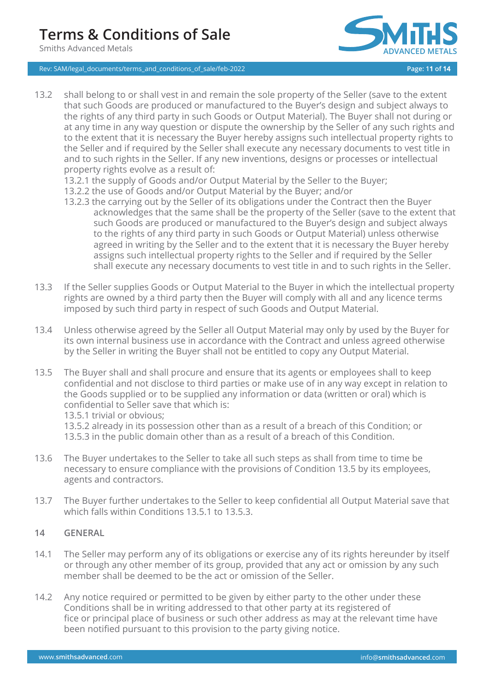

Rev: SAM/legal\_documents/terms\_and\_conditions\_of\_sale/feb-2022 **Page: 11 of 14**

- 13.2 shall belong to or shall vest in and remain the sole property of the Seller (save to the extent that such Goods are produced or manufactured to the Buyer's design and subject always to the rights of any third party in such Goods or Output Material). The Buyer shall not during or at any time in any way question or dispute the ownership by the Seller of any such rights and to the extent that it is necessary the Buyer hereby assigns such intellectual property rights to the Seller and if required by the Seller shall execute any necessary documents to vest title in and to such rights in the Seller. If any new inventions, designs or processes or intellectual property rights evolve as a result of:
	- 13.2.1 the supply of Goods and/or Output Material by the Seller to the Buyer;
	- 13.2.2 the use of Goods and/or Output Material by the Buyer; and/or
	- 13.2.3 the carrying out by the Seller of its obligations under the Contract then the Buyer acknowledges that the same shall be the property of the Seller (save to the extent that such Goods are produced or manufactured to the Buyer's design and subject always to the rights of any third party in such Goods or Output Material) unless otherwise agreed in writing by the Seller and to the extent that it is necessary the Buyer hereby assigns such intellectual property rights to the Seller and if required by the Seller shall execute any necessary documents to vest title in and to such rights in the Seller.
- 13.3 If the Seller supplies Goods or Output Material to the Buyer in which the intellectual property rights are owned by a third party then the Buyer will comply with all and any licence terms imposed by such third party in respect of such Goods and Output Material.
- 13.4 Unless otherwise agreed by the Seller all Output Material may only by used by the Buyer for its own internal business use in accordance with the Contract and unless agreed otherwise by the Seller in writing the Buyer shall not be entitled to copy any Output Material.
- 13.5 The Buyer shall and shall procure and ensure that its agents or employees shall to keep confidential and not disclose to third parties or make use of in any way except in relation to the Goods supplied or to be supplied any information or data (written or oral) which is confidential to Seller save that which is:
	- 13.5.1 trivial or obvious;

13.5.2 already in its possession other than as a result of a breach of this Condition; or 13.5.3 in the public domain other than as a result of a breach of this Condition.

- 13.6 The Buyer undertakes to the Seller to take all such steps as shall from time to time be necessary to ensure compliance with the provisions of Condition 13.5 by its employees, agents and contractors.
- 13.7 The Buyer further undertakes to the Seller to keep confidential all Output Material save that which falls within Conditions 13.5.1 to 13.5.3.

# **14 GENERAL**

- 14.1 The Seller may perform any of its obligations or exercise any of its rights hereunder by itself or through any other member of its group, provided that any act or omission by any such member shall be deemed to be the act or omission of the Seller.
- 14.2 Any notice required or permitted to be given by either party to the other under these Conditions shall be in writing addressed to that other party at its registered of fice or principal place of business or such other address as may at the relevant time have been notified pursuant to this provision to the party giving notice.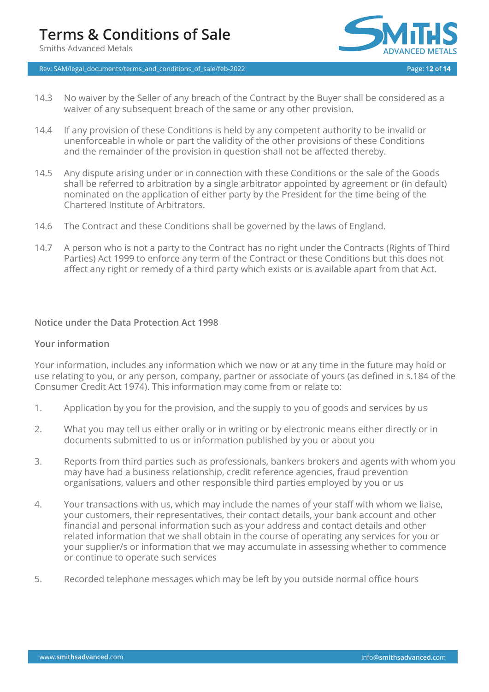Rev: SAM/legal\_documents/terms\_and\_conditions\_of\_sale/feb-2022 **Page: 12 of 14**



- 14.3 No waiver by the Seller of any breach of the Contract by the Buyer shall be considered as a waiver of any subsequent breach of the same or any other provision.
- 14.4 If any provision of these Conditions is held by any competent authority to be invalid or unenforceable in whole or part the validity of the other provisions of these Conditions and the remainder of the provision in question shall not be affected thereby.
- 14.5 Any dispute arising under or in connection with these Conditions or the sale of the Goods shall be referred to arbitration by a single arbitrator appointed by agreement or (in default) nominated on the application of either party by the President for the time being of the Chartered Institute of Arbitrators.
- 14.6 The Contract and these Conditions shall be governed by the laws of England.
- 14.7 A person who is not a party to the Contract has no right under the Contracts (Rights of Third Parties) Act 1999 to enforce any term of the Contract or these Conditions but this does not affect any right or remedy of a third party which exists or is available apart from that Act.

# **Notice under the Data Protection Act 1998**

### **Your information**

Your information, includes any information which we now or at any time in the future may hold or use relating to you, or any person, company, partner or associate of yours (as defined in s.184 of the Consumer Credit Act 1974). This information may come from or relate to:

- 1. Application by you for the provision, and the supply to you of goods and services by us
- 2. What you may tell us either orally or in writing or by electronic means either directly or in documents submitted to us or information published by you or about you
- 3. Reports from third parties such as professionals, bankers brokers and agents with whom you may have had a business relationship, credit reference agencies, fraud prevention organisations, valuers and other responsible third parties employed by you or us
- 4. Your transactions with us, which may include the names of your staff with whom we liaise, your customers, their representatives, their contact details, your bank account and other financial and personal information such as your address and contact details and other related information that we shall obtain in the course of operating any services for you or your supplier/s or information that we may accumulate in assessing whether to commence or continue to operate such services
- 5. Recorded telephone messages which may be left by you outside normal office hours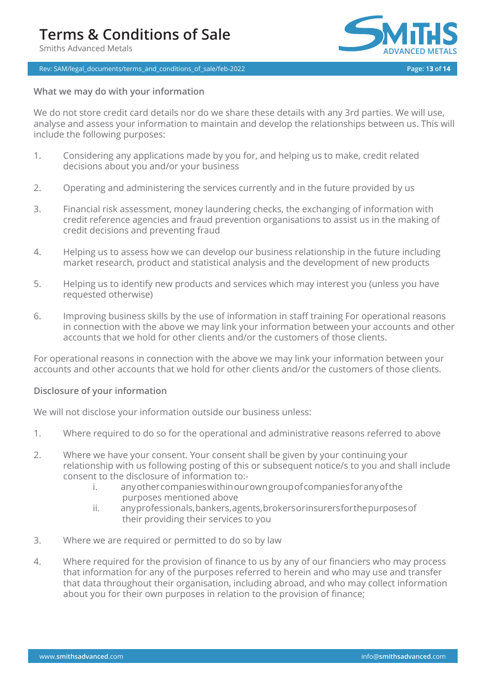### Rev: SAM/legal\_documents/terms\_and\_conditions\_of\_sale/feb-2022 **Page: 13 of 14**



# **What we may do with your information**

We do not store credit card details nor do we share these details with any 3rd parties. We will use, analyse and assess your information to maintain and develop the relationships between us. This will include the following purposes:

- 1. Considering any applications made by you for, and helping us to make, credit related decisions about you and/or your business
- 2. Operating and administering the services currently and in the future provided by us
- 3. Financial risk assessment, money laundering checks, the exchanging of information with credit reference agencies and fraud prevention organisations to assist us in the making of credit decisions and preventing fraud
- 4. Helping us to assess how we can develop our business relationship in the future including market research, product and statistical analysis and the development of new products
- 5. Helping us to identify new products and services which may interest you (unless you have requested otherwise)
- 6. Improving business skills by the use of information in staff training For operational reasons in connection with the above we may link your information between your accounts and other accounts that we hold for other clients and/or the customers of those clients.

For operational reasons in connection with the above we may link your information between your accounts and other accounts that we hold for other clients and/or the customers of those clients.

### **Disclosure of your information**

We will not disclose your information outside our business unless:

- 1. Where required to do so for the operational and administrative reasons referred to above
- 2. Where we have your consent. Your consent shall be given by your continuing your relationship with us following posting of this or subsequent notice/s to you and shall include consent to the disclosure of information to:
	- i. anyothercompanieswithinourowngroupofcompaniesforanyofthe purposes mentioned above
	- ii. anyprofessionals,bankers,agents,brokersorinsurersforthepurposesof their providing their services to you
- 3. Where we are required or permitted to do so by law
- 4. Where required for the provision of finance to us by any of our financiers who may process that information for any of the purposes referred to herein and who may use and transfer that data throughout their organisation, including abroad, and who may collect information about you for their own purposes in relation to the provision of finance;